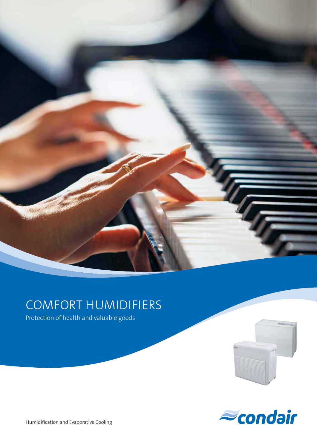

# COMFORT HUMIDIFIERS

Protection of health and valuable goods





Humidification and Evaporative Cooling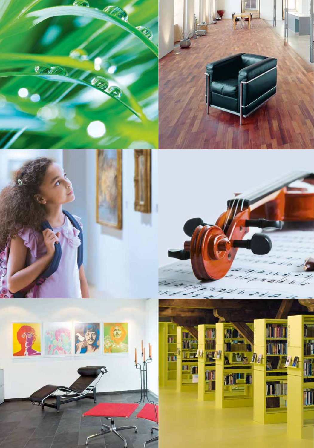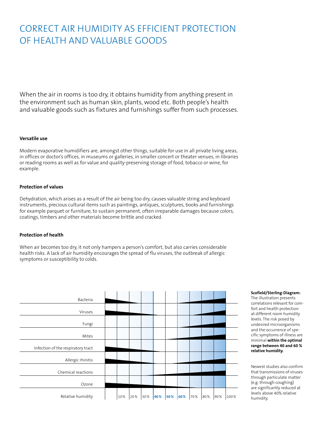### CORRECT AIR HUMIDITY AS EFFICIENT PROTECTION OF HEALTH AND VALUABLE GOODS

When the air in rooms is too dry, it obtains humidity from anything present in the environment such as human skin, plants, wood etc. Both people's health and valuable goods such as fixtures and furnishings suffer from such processes.

#### **Versatile use**

Modern evaporative humidifiers are, amongst other things, suitable for use in all private living areas, in offices or doctor's offices, in museums or galleries, in smaller concert or theater venues, in libraries or reading rooms as well as for value and quality-preserving storage of food, tobacco or wine, for example.

#### **Protection of values**

Dehydration, which arises as a result of the air being too dry, causes valuable string and keyboard instruments, precious cultural items such as paintings, antiques, sculptures, books and furnishings for example parquet or furniture, to sustain permanent, often irreparable damages because colors, coatings, timbers and other materials become brittle and cracked.

### **Protection of health**

When air becomes too dry, it not only hampers a person's comfort, but also carries considerable health risks. A lack of air humidity encourages the spread of flu viruses, the outbreak of allergic symptoms or susceptibility to colds.



#### **Scofield/Sterling-Diagram:**

The illustration presents correlations relevant for comfort and health protection at different room humidity levels. The risk posed by undesired microorganisms and the occurrence of specific symptoms of illness are minimal **within the optimal range between 40 and 60 % relative humidity.**

Newest studies also confirm that transmissions of viruses through particulate matter (e.g. through coughing) are significantly reduced at levels above 40% relative humidity.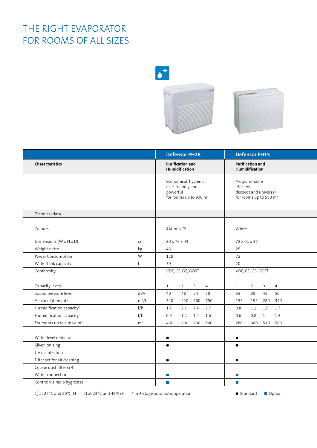## THE RIGHT EVAPORATOR FOR ROOMS OF ALL SIZES





|                                       |                | <b>Defensor PH28</b>                                                                        | <b>Defensor PH15</b>                                                                       |
|---------------------------------------|----------------|---------------------------------------------------------------------------------------------|--------------------------------------------------------------------------------------------|
| Characteristics                       |                | <b>Purification and</b><br>Humidification                                                   | <b>Purification and</b><br>Humidification                                                  |
|                                       |                | Economical, hygienic<br>user-friendly and<br>powerful<br>for rooms up to 900 m <sup>3</sup> | Programmable<br>efficient,<br>discreet and universal<br>for rooms up to 580 m <sup>3</sup> |
| Technical data                        |                |                                                                                             |                                                                                            |
| Colours                               |                | RAL or NCS                                                                                  | White                                                                                      |
| Dimensions ( $W \times H \times D$ )  | cm             | 80 x 75 x 44                                                                                | 73 x 61 x 37                                                                               |
| Weight netto                          | kg             | 43                                                                                          | 25                                                                                         |
| Power Consumption                     | W              | 128                                                                                         | 72                                                                                         |
| Water tank capacity                   |                | 30                                                                                          | 20                                                                                         |
| Conformity                            |                | VDE, CE, GS, GOST                                                                           | VDE, CE, GS, GOST                                                                          |
|                                       |                |                                                                                             |                                                                                            |
| Capacity levels                       |                | $2 \t 3$<br>$\overline{4}$<br>1                                                             | $2 \qquad 3 \qquad 4$<br>1                                                                 |
| Sound pressure level                  | dBA            | 48 54 58<br>40                                                                              | 38 45 50<br>33                                                                             |
| Air circulation rate                  | $m^3/h$        | 420 600 750<br>320                                                                          | 195 280 340<br>155                                                                         |
| Humidification capacity <sup>1)</sup> | I/h            | $2.1$ $2.4$ $2.7$<br>1,7                                                                    | $1.1$ $1.5$ $1.7$<br>0.8                                                                   |
| Humidification capacity <sup>2)</sup> | I/h            | $1.2$ $1.4$ $1.6$<br>0.9                                                                    | $0.8$ 1 1.3<br>0.6                                                                         |
| For rooms up to a max. of             | m <sup>3</sup> | 600 730 900<br>430                                                                          | 380 510 580<br>280                                                                         |
|                                       |                |                                                                                             |                                                                                            |
| Water level detector                  |                | $\bullet$                                                                                   | $\bullet$                                                                                  |
| Silver ionising                       |                | $\bullet$                                                                                   | $\bullet$                                                                                  |
| UV disinfection                       |                |                                                                                             |                                                                                            |
| Filter set for air cleaning           |                | $\bullet$                                                                                   | $\bullet$                                                                                  |
| Coarse dust filter G 4                |                |                                                                                             |                                                                                            |
| Water connection                      |                | $\mathcal{L}^{\text{eff}}$                                                                  | $\mathcal{L}_{\mathcal{A}}$                                                                |
| Control via radio hygrostat           |                | $\mathcal{L}_{\mathcal{A}}$                                                                 | $\Box$                                                                                     |

1) at 25 °C and 20% rH 2) at 23 °C and 45% rH \* in 4-stage automatic operation  $\bullet$  Standard Doption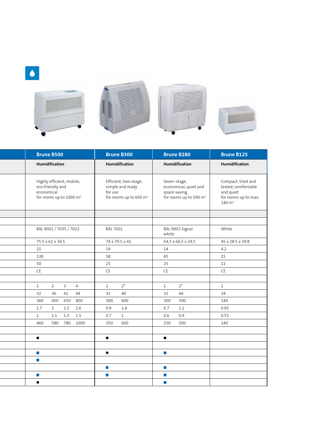



| <b>Brune B500</b>                                                                                  | <b>Brune B300</b>                                                                          | <b>Brune B280</b>                                                                           | <b>Brune B125</b>                                                                                   |
|----------------------------------------------------------------------------------------------------|--------------------------------------------------------------------------------------------|---------------------------------------------------------------------------------------------|-----------------------------------------------------------------------------------------------------|
| Humidification                                                                                     | Humidification                                                                             | Humidification                                                                              | Humidification                                                                                      |
|                                                                                                    |                                                                                            |                                                                                             |                                                                                                     |
| Highly efficient, mobile,<br>eco-friendly and<br>economical<br>for rooms up to 1000 m <sup>3</sup> | Efficient, two-stage,<br>simple and ready<br>for use<br>for rooms up to 600 m <sup>3</sup> | Seven-stage,<br>economical, quiet and<br>space-saving<br>for rooms up to 500 m <sup>3</sup> | Compact, tried and<br>tested, comfortable<br>and quiet<br>for rooms up to max.<br>$140 \text{ m}^3$ |
|                                                                                                    |                                                                                            |                                                                                             |                                                                                                     |
|                                                                                                    |                                                                                            |                                                                                             |                                                                                                     |
| RAL 9001 / 7035 / 7022                                                                             | RAL 7001                                                                                   | RAL 9003 Signal<br>white                                                                    | White                                                                                               |
| 75.5 x 62 x 36.5                                                                                   | 74 x 70.5 x 41                                                                             | 64,5 x 66,5 x 29,5                                                                          | 45 x 28.5 x 29.8                                                                                    |
| 21                                                                                                 | 19                                                                                         | 14                                                                                          | 4.2                                                                                                 |
| 130                                                                                                | 58                                                                                         | 45                                                                                          | 25                                                                                                  |
| 50                                                                                                 | 25                                                                                         | 25                                                                                          | 11                                                                                                  |
| CE                                                                                                 | CE                                                                                         | CE                                                                                          | CE                                                                                                  |
|                                                                                                    |                                                                                            |                                                                                             |                                                                                                     |
| $2 \qquad 3 \qquad 4$<br>$\mathbf{1}$                                                              | $2^*$<br>$\mathbf{1}$                                                                      | $2^*$<br>1                                                                                  | $\mathbf{1}$                                                                                        |
| 36 41 44<br>32                                                                                     | 40<br>32                                                                                   | 32<br>44                                                                                    | 34                                                                                                  |
| 450 650 800<br>360                                                                                 | 600<br>300                                                                                 | 300<br>500                                                                                  | 140                                                                                                 |
| $2.3$ 2.6<br>$\overline{2}$<br>1.7                                                                 | 0.9<br>1.4                                                                                 | 0.7<br>1.2                                                                                  | 0.95                                                                                                |
| $1.1 \t1.3 \t1.5$<br>$\mathbf{1}$                                                                  | 0.7<br>$\overline{1}$                                                                      | 0.6<br>0.9                                                                                  | 0.55                                                                                                |
| 460 580 780 1000                                                                                   | 350<br>600                                                                                 | 250 500                                                                                     | 140                                                                                                 |
|                                                                                                    |                                                                                            |                                                                                             |                                                                                                     |
| $\bullet$                                                                                          | $\bullet$                                                                                  | $\bullet$                                                                                   |                                                                                                     |
|                                                                                                    |                                                                                            |                                                                                             |                                                                                                     |
| $\mathcal{L}_{\mathcal{A}}$                                                                        | $\bullet$                                                                                  | $\mathcal{L}_{\mathcal{A}}$                                                                 |                                                                                                     |
| $\mathcal{L}_{\mathcal{A}}$                                                                        |                                                                                            |                                                                                             |                                                                                                     |
|                                                                                                    | $\mathcal{L}^{\text{max}}$                                                                 | $\mathcal{L}^{\mathcal{A}}$                                                                 |                                                                                                     |
| $\mathcal{L}_{\mathcal{A}}$                                                                        | $\mathcal{L}_{\mathcal{A}}$                                                                | $\overline{\phantom{a}}$                                                                    |                                                                                                     |
| $\bullet$                                                                                          |                                                                                            | $\sim$                                                                                      |                                                                                                     |